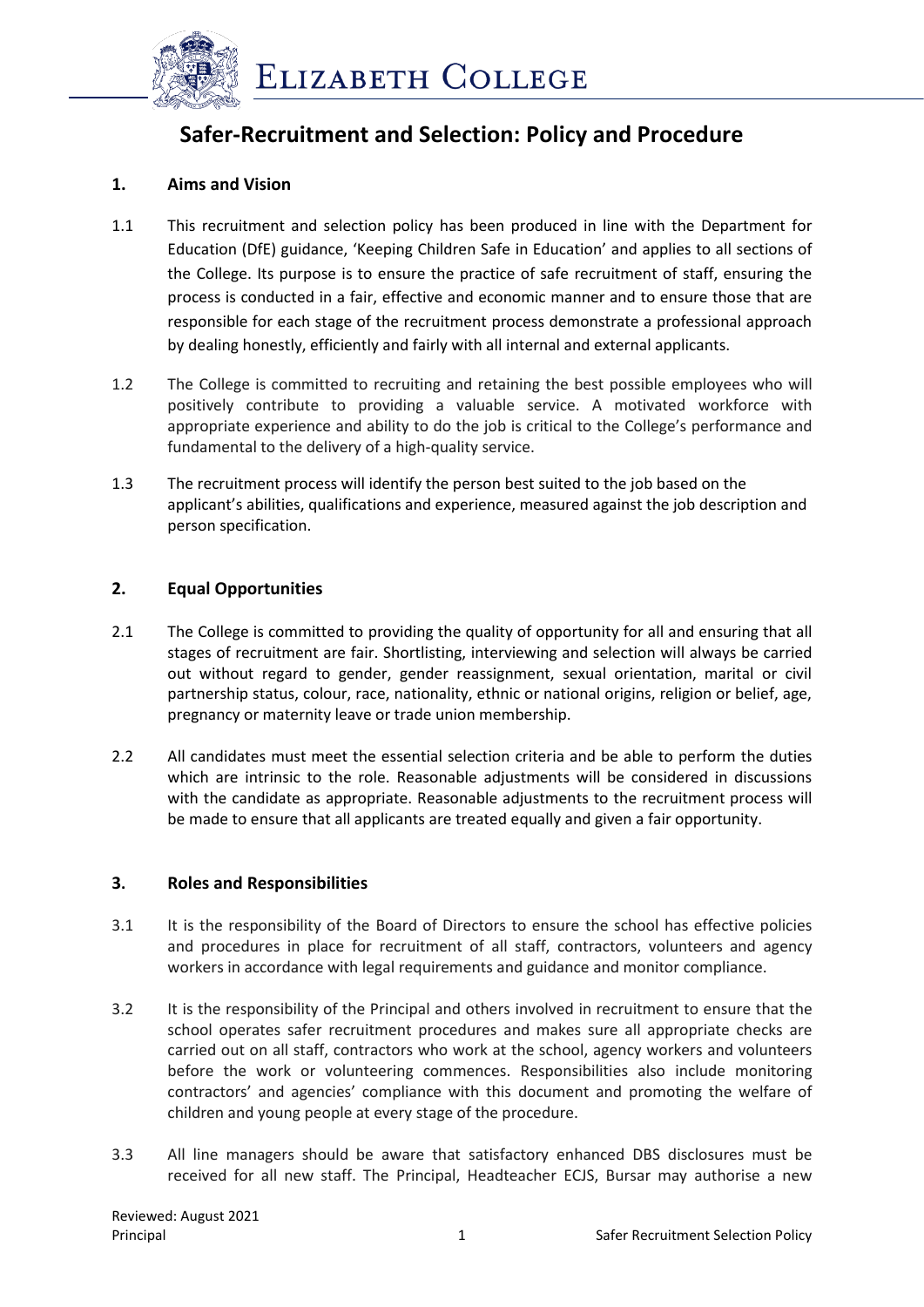

# **Safer-Recruitment and Selection: Policy and Procedure**

## **1. Aims and Vision**

- 1.1 This recruitment and selection policy has been produced in line with the Department for Education (DfE) guidance, 'Keeping Children Safe in Education' and applies to all sections of the College. Its purpose is to ensure the practice of safe recruitment of staff, ensuring the process is conducted in a fair, effective and economic manner and to ensure those that are responsible for each stage of the recruitment process demonstrate a professional approach by dealing honestly, efficiently and fairly with all internal and external applicants.
- 1.2 The College is committed to recruiting and retaining the best possible employees who will positively contribute to providing a valuable service. A motivated workforce with appropriate experience and ability to do the job is critical to the College's performance and fundamental to the delivery of a high-quality service.
- 1.3 The recruitment process will identify the person best suited to the job based on the applicant's abilities, qualifications and experience, measured against the job description and person specification.

## **2. Equal Opportunities**

- 2.1 The College is committed to providing the quality of opportunity for all and ensuring that all stages of recruitment are fair. Shortlisting, interviewing and selection will always be carried out without regard to gender, gender reassignment, sexual orientation, marital or civil partnership status, colour, race, nationality, ethnic or national origins, religion or belief, age, pregnancy or maternity leave or trade union membership.
- 2.2 All candidates must meet the essential selection criteria and be able to perform the duties which are intrinsic to the role. Reasonable adjustments will be considered in discussions with the candidate as appropriate. Reasonable adjustments to the recruitment process will be made to ensure that all applicants are treated equally and given a fair opportunity.

## **3. Roles and Responsibilities**

- 3.1 It is the responsibility of the Board of Directors to ensure the school has effective policies and procedures in place for recruitment of all staff, contractors, volunteers and agency workers in accordance with legal requirements and guidance and monitor compliance.
- 3.2 It is the responsibility of the Principal and others involved in recruitment to ensure that the school operates safer recruitment procedures and makes sure all appropriate checks are carried out on all staff, contractors who work at the school, agency workers and volunteers before the work or volunteering commences. Responsibilities also include monitoring contractors' and agencies' compliance with this document and promoting the welfare of children and young people at every stage of the procedure.
- 3.3 All line managers should be aware that satisfactory enhanced DBS disclosures must be received for all new staff. The Principal, Headteacher ECJS, Bursar may authorise a new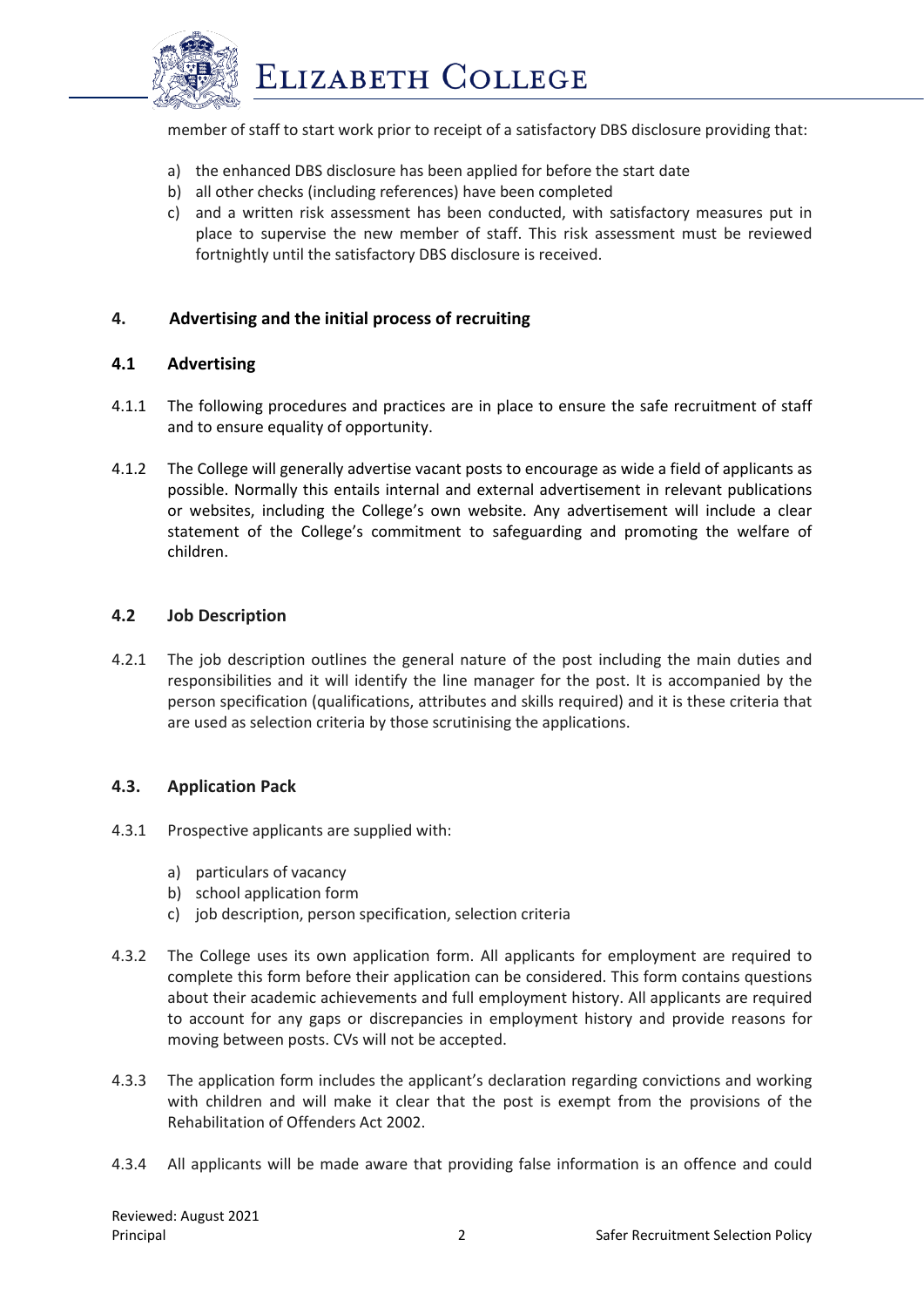

member of staff to start work prior to receipt of a satisfactory DBS disclosure providing that:

- a) the enhanced DBS disclosure has been applied for before the start date
- b) all other checks (including references) have been completed
- c) and a written risk assessment has been conducted, with satisfactory measures put in place to supervise the new member of staff. This risk assessment must be reviewed fortnightly until the satisfactory DBS disclosure is received.

## **4. Advertising and the initial process of recruiting**

#### **4.1 Advertising**

- 4.1.1 The following procedures and practices are in place to ensure the safe recruitment of staff and to ensure equality of opportunity.
- 4.1.2 The College will generally advertise vacant posts to encourage as wide a field of applicants as possible. Normally this entails internal and external advertisement in relevant publications or websites, including the College's own website. Any advertisement will include a clear statement of the College's commitment to safeguarding and promoting the welfare of children.

#### **4.2 Job Description**

4.2.1 The job description outlines the general nature of the post including the main duties and responsibilities and it will identify the line manager for the post. It is accompanied by the person specification (qualifications, attributes and skills required) and it is these criteria that are used as selection criteria by those scrutinising the applications.

#### **4.3. Application Pack**

- 4.3.1 Prospective applicants are supplied with:
	- a) particulars of vacancy
	- b) school application form
	- c) job description, person specification, selection criteria
- 4.3.2 The College uses its own application form. All applicants for employment are required to complete this form before their application can be considered. This form contains questions about their academic achievements and full employment history. All applicants are required to account for any gaps or discrepancies in employment history and provide reasons for moving between posts. CVs will not be accepted.
- 4.3.3 The application form includes the applicant's declaration regarding convictions and working with children and will make it clear that the post is exempt from the provisions of the Rehabilitation of Offenders Act 2002.
- 4.3.4 All applicants will be made aware that providing false information is an offence and could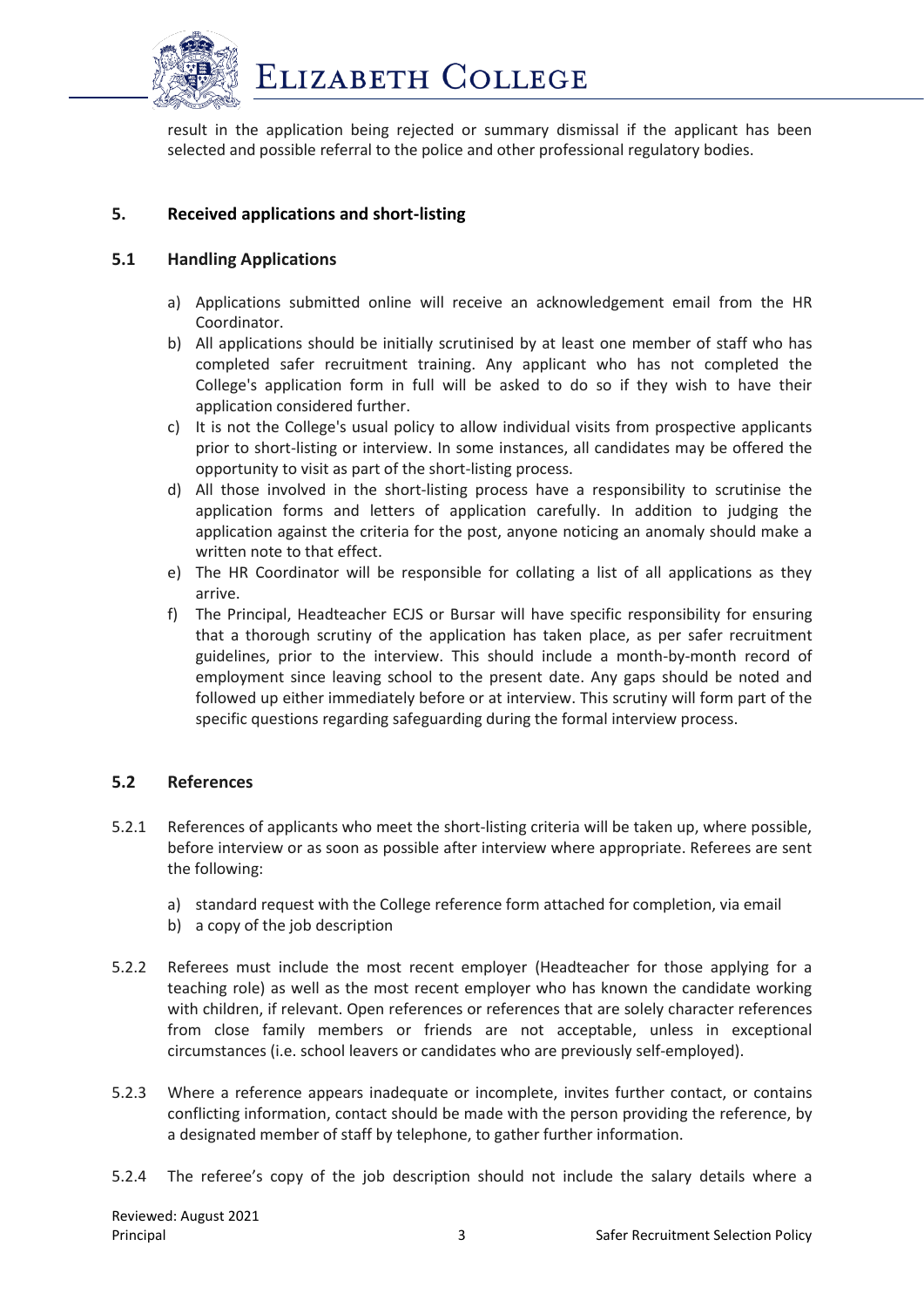

result in the application being rejected or summary dismissal if the applicant has been selected and possible referral to the police and other professional regulatory bodies.

# **5. Received applications and short-listing**

## **5.1 Handling Applications**

- a) Applications submitted online will receive an acknowledgement email from the HR Coordinator.
- b) All applications should be initially scrutinised by at least one member of staff who has completed safer recruitment training. Any applicant who has not completed the College's application form in full will be asked to do so if they wish to have their application considered further.
- c) It is not the College's usual policy to allow individual visits from prospective applicants prior to short-listing or interview. In some instances, all candidates may be offered the opportunity to visit as part of the short-listing process.
- d) All those involved in the short-listing process have a responsibility to scrutinise the application forms and letters of application carefully. In addition to judging the application against the criteria for the post, anyone noticing an anomaly should make a written note to that effect.
- e) The HR Coordinator will be responsible for collating a list of all applications as they arrive.
- f) The Principal, Headteacher ECJS or Bursar will have specific responsibility for ensuring that a thorough scrutiny of the application has taken place, as per safer recruitment guidelines, prior to the interview. This should include a month-by-month record of employment since leaving school to the present date. Any gaps should be noted and followed up either immediately before or at interview. This scrutiny will form part of the specific questions regarding safeguarding during the formal interview process.

## **5.2 References**

- 5.2.1 References of applicants who meet the short-listing criteria will be taken up, where possible, before interview or as soon as possible after interview where appropriate. Referees are sent the following:
	- a) standard request with the College reference form attached for completion, via email
	- b) a copy of the job description
- 5.2.2 Referees must include the most recent employer (Headteacher for those applying for a teaching role) as well as the most recent employer who has known the candidate working with children, if relevant. Open references or references that are solely character references from close family members or friends are not acceptable, unless in exceptional circumstances (i.e. school leavers or candidates who are previously self-employed).
- 5.2.3 Where a reference appears inadequate or incomplete, invites further contact, or contains conflicting information, contact should be made with the person providing the reference, by a designated member of staff by telephone, to gather further information.
- 5.2.4 The referee's copy of the job description should not include the salary details where a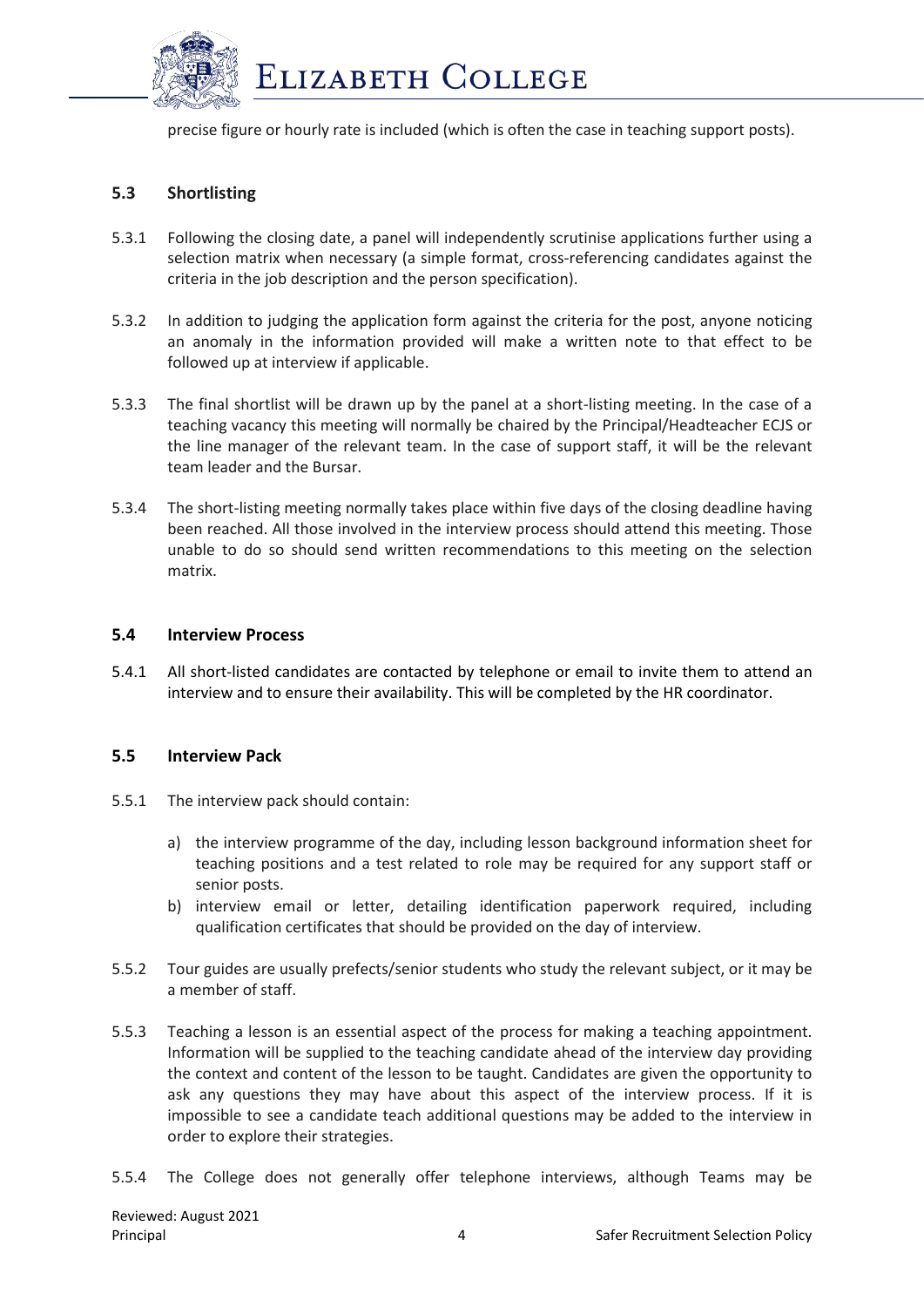

precise figure or hourly rate is included (which is often the case in teaching support posts).

# **5.3 Shortlisting**

- 5.3.1 Following the closing date, a panel will independently scrutinise applications further using a selection matrix when necessary (a simple format, cross-referencing candidates against the criteria in the job description and the person specification).
- 5.3.2 In addition to judging the application form against the criteria for the post, anyone noticing an anomaly in the information provided will make a written note to that effect to be followed up at interview if applicable.
- 5.3.3 The final shortlist will be drawn up by the panel at a short-listing meeting. In the case of a teaching vacancy this meeting will normally be chaired by the Principal/Headteacher ECJS or the line manager of the relevant team. In the case of support staff, it will be the relevant team leader and the Bursar.
- 5.3.4 The short-listing meeting normally takes place within five days of the closing deadline having been reached. All those involved in the interview process should attend this meeting. Those unable to do so should send written recommendations to this meeting on the selection matrix.

#### **5.4 Interview Process**

5.4.1 All short-listed candidates are contacted by telephone or email to invite them to attend an interview and to ensure their availability. This will be completed by the HR coordinator.

#### **5.5 Interview Pack**

- 5.5.1 The interview pack should contain:
	- a) the interview programme of the day, including lesson background information sheet for teaching positions and a test related to role may be required for any support staff or senior posts.
	- b) interview email or letter, detailing identification paperwork required, including qualification certificates that should be provided on the day of interview.
- 5.5.2 Tour guides are usually prefects/senior students who study the relevant subject, or it may be a member of staff.
- 5.5.3 Teaching a lesson is an essential aspect of the process for making a teaching appointment. Information will be supplied to the teaching candidate ahead of the interview day providing the context and content of the lesson to be taught. Candidates are given the opportunity to ask any questions they may have about this aspect of the interview process. If it is impossible to see a candidate teach additional questions may be added to the interview in order to explore their strategies.
- 5.5.4 The College does not generally offer telephone interviews, although Teams may be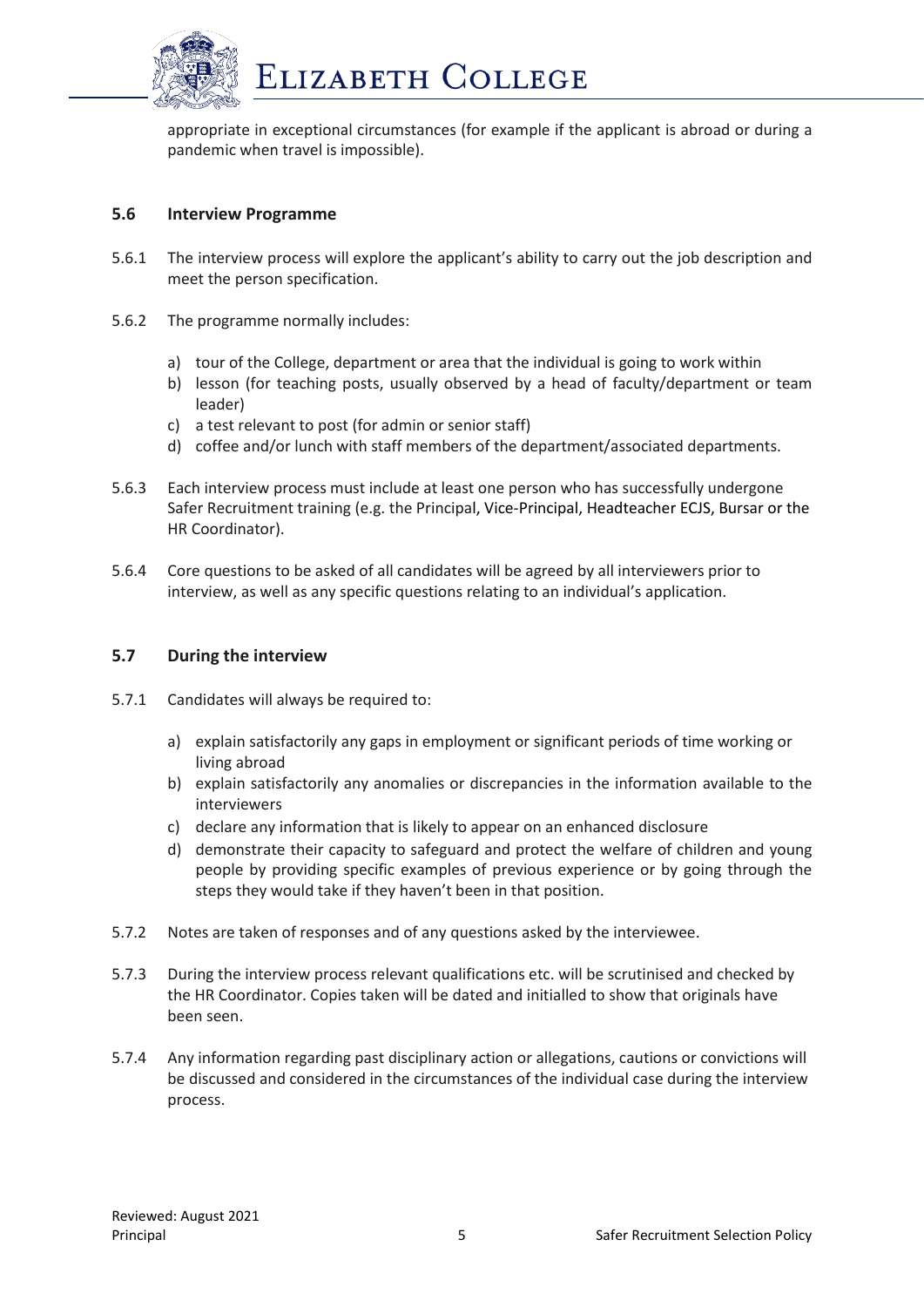

appropriate in exceptional circumstances (for example if the applicant is abroad or during a pandemic when travel is impossible).

## **5.6 Interview Programme**

- 5.6.1 The interview process will explore the applicant's ability to carry out the job description and meet the person specification.
- 5.6.2 The programme normally includes:
	- a) tour of the College, department or area that the individual is going to work within
	- b) lesson (for teaching posts, usually observed by a head of faculty/department or team leader)
	- c) a test relevant to post (for admin or senior staff)
	- d) coffee and/or lunch with staff members of the department/associated departments.
- 5.6.3 Each interview process must include at least one person who has successfully undergone Safer Recruitment training (e.g. the Principal, Vice-Principal, Headteacher ECJS, Bursar or the HR Coordinator).
- 5.6.4 Core questions to be asked of all candidates will be agreed by all interviewers prior to interview, as well as any specific questions relating to an individual's application.

#### **5.7 During the interview**

- 5.7.1 Candidates will always be required to:
	- a) explain satisfactorily any gaps in employment or significant periods of time working or living abroad
	- b) explain satisfactorily any anomalies or discrepancies in the information available to the interviewers
	- c) declare any information that is likely to appear on an enhanced disclosure
	- d) demonstrate their capacity to safeguard and protect the welfare of children and young people by providing specific examples of previous experience or by going through the steps they would take if they haven't been in that position.
- 5.7.2 Notes are taken of responses and of any questions asked by the interviewee.
- 5.7.3 During the interview process relevant qualifications etc. will be scrutinised and checked by the HR Coordinator. Copies taken will be dated and initialled to show that originals have been seen.
- 5.7.4 Any information regarding past disciplinary action or allegations, cautions or convictions will be discussed and considered in the circumstances of the individual case during the interview process.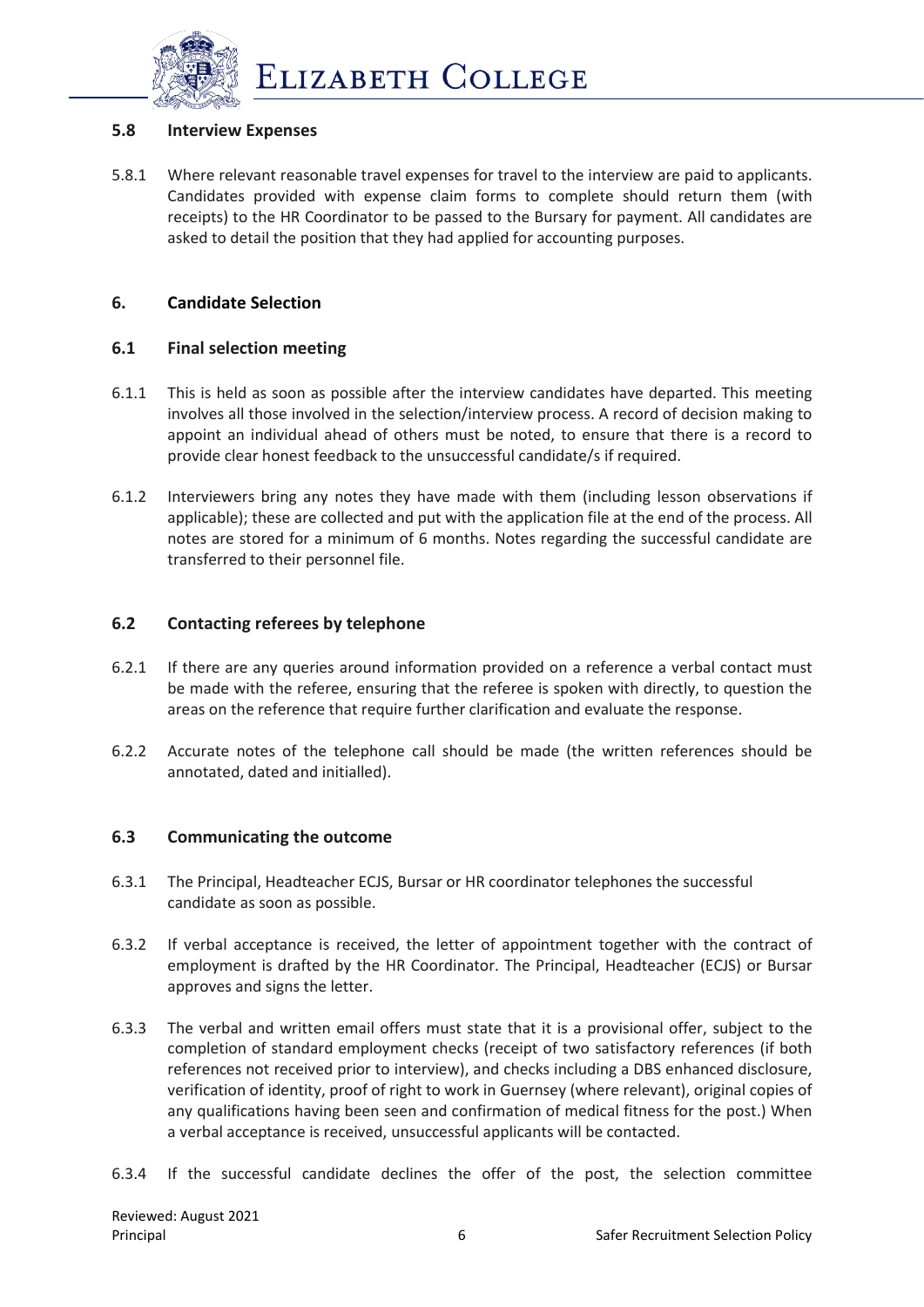

#### **5.8 Interview Expenses**

5.8.1 Where relevant reasonable travel expenses for travel to the interview are paid to applicants. Candidates provided with expense claim forms to complete should return them (with receipts) to the HR Coordinator to be passed to the Bursary for payment. All candidates are asked to detail the position that they had applied for accounting purposes.

## **6. Candidate Selection**

#### **6.1 Final selection meeting**

- 6.1.1 This is held as soon as possible after the interview candidates have departed. This meeting involves all those involved in the selection/interview process. A record of decision making to appoint an individual ahead of others must be noted, to ensure that there is a record to provide clear honest feedback to the unsuccessful candidate/s if required.
- 6.1.2 Interviewers bring any notes they have made with them (including lesson observations if applicable); these are collected and put with the application file at the end of the process. All notes are stored for a minimum of 6 months. Notes regarding the successful candidate are transferred to their personnel file.

## **6.2 Contacting referees by telephone**

- 6.2.1 If there are any queries around information provided on a reference a verbal contact must be made with the referee, ensuring that the referee is spoken with directly, to question the areas on the reference that require further clarification and evaluate the response.
- 6.2.2 Accurate notes of the telephone call should be made (the written references should be annotated, dated and initialled).

#### **6.3 Communicating the outcome**

- 6.3.1 The Principal, Headteacher ECJS, Bursar or HR coordinator telephones the successful candidate as soon as possible.
- 6.3.2 If verbal acceptance is received, the letter of appointment together with the contract of employment is drafted by the HR Coordinator. The Principal, Headteacher (ECJS) or Bursar approves and signs the letter.
- 6.3.3 The verbal and written email offers must state that it is a provisional offer, subject to the completion of standard employment checks (receipt of two satisfactory references (if both references not received prior to interview), and checks including a DBS enhanced disclosure, verification of identity, proof of right to work in Guernsey (where relevant), original copies of any qualifications having been seen and confirmation of medical fitness for the post.) When a verbal acceptance is received, unsuccessful applicants will be contacted.
- 6.3.4 If the successful candidate declines the offer of the post, the selection committee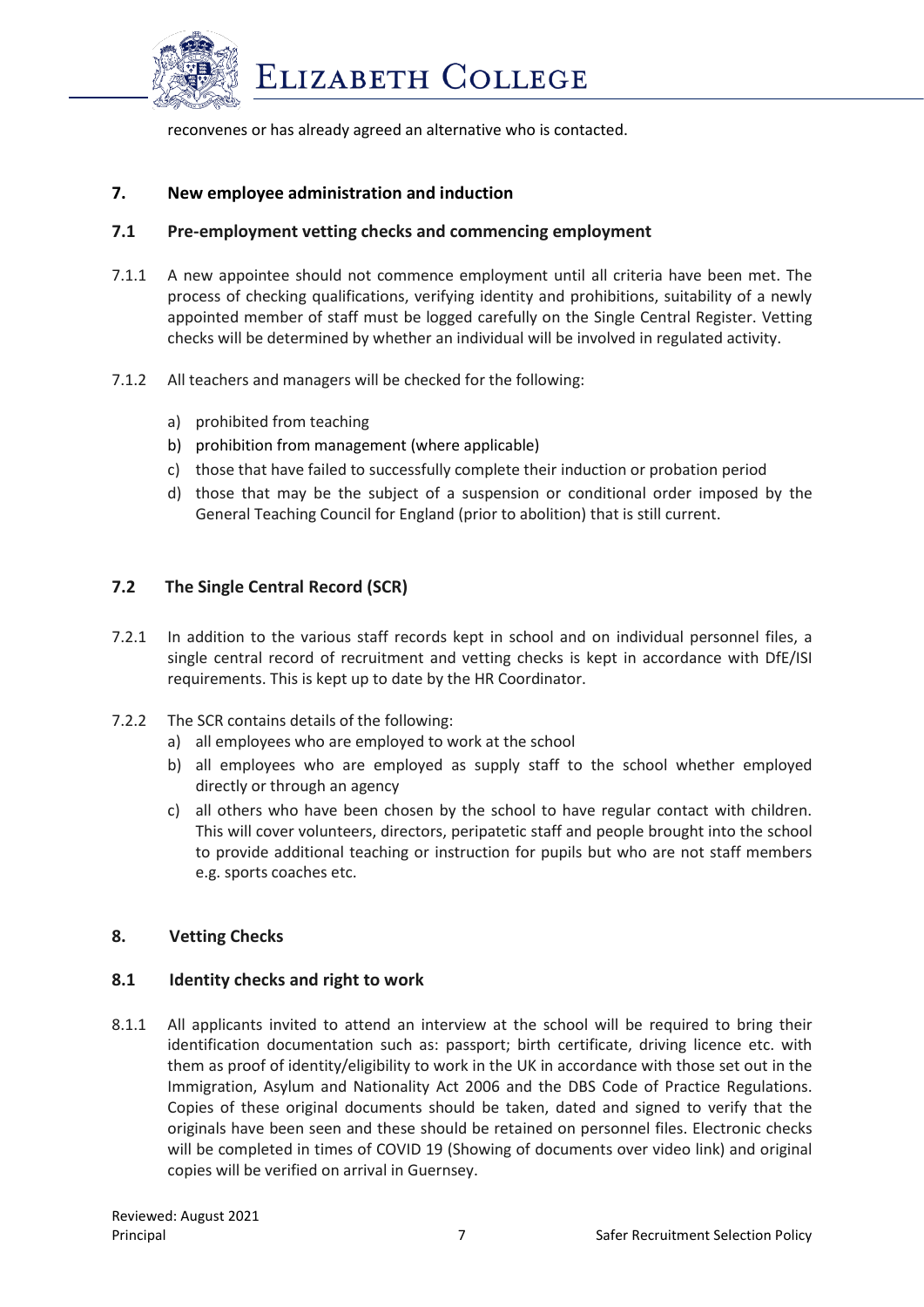

reconvenes or has already agreed an alternative who is contacted.

#### **7. New employee administration and induction**

#### **7.1 Pre-employment vetting checks and commencing employment**

- 7.1.1 A new appointee should not commence employment until all criteria have been met. The process of checking qualifications, verifying identity and prohibitions, suitability of a newly appointed member of staff must be logged carefully on the Single Central Register. Vetting checks will be determined by whether an individual will be involved in regulated activity.
- 7.1.2 All teachers and managers will be checked for the following:
	- a) prohibited from teaching
	- b) prohibition from management (where applicable)
	- c) those that have failed to successfully complete their induction or probation period
	- d) those that may be the subject of a suspension or conditional order imposed by the General Teaching Council for England (prior to abolition) that is still current.

## **7.2 The Single Central Record (SCR)**

- 7.2.1 In addition to the various staff records kept in school and on individual personnel files, a single central record of recruitment and vetting checks is kept in accordance with DfE/ISI requirements. This is kept up to date by the HR Coordinator.
- 7.2.2 The SCR contains details of the following:
	- a) all employees who are employed to work at the school
	- b) all employees who are employed as supply staff to the school whether employed directly or through an agency
	- c) all others who have been chosen by the school to have regular contact with children. This will cover volunteers, directors, peripatetic staff and people brought into the school to provide additional teaching or instruction for pupils but who are not staff members e.g. sports coaches etc.

## **8. Vetting Checks**

#### **8.1 Identity checks and right to work**

8.1.1 All applicants invited to attend an interview at the school will be required to bring their identification documentation such as: passport; birth certificate, driving licence etc. with them as proof of identity/eligibility to work in the UK in accordance with those set out in the Immigration, Asylum and Nationality Act 2006 and the DBS Code of Practice Regulations. Copies of these original documents should be taken, dated and signed to verify that the originals have been seen and these should be retained on personnel files. Electronic checks will be completed in times of COVID 19 (Showing of documents over video link) and original copies will be verified on arrival in Guernsey.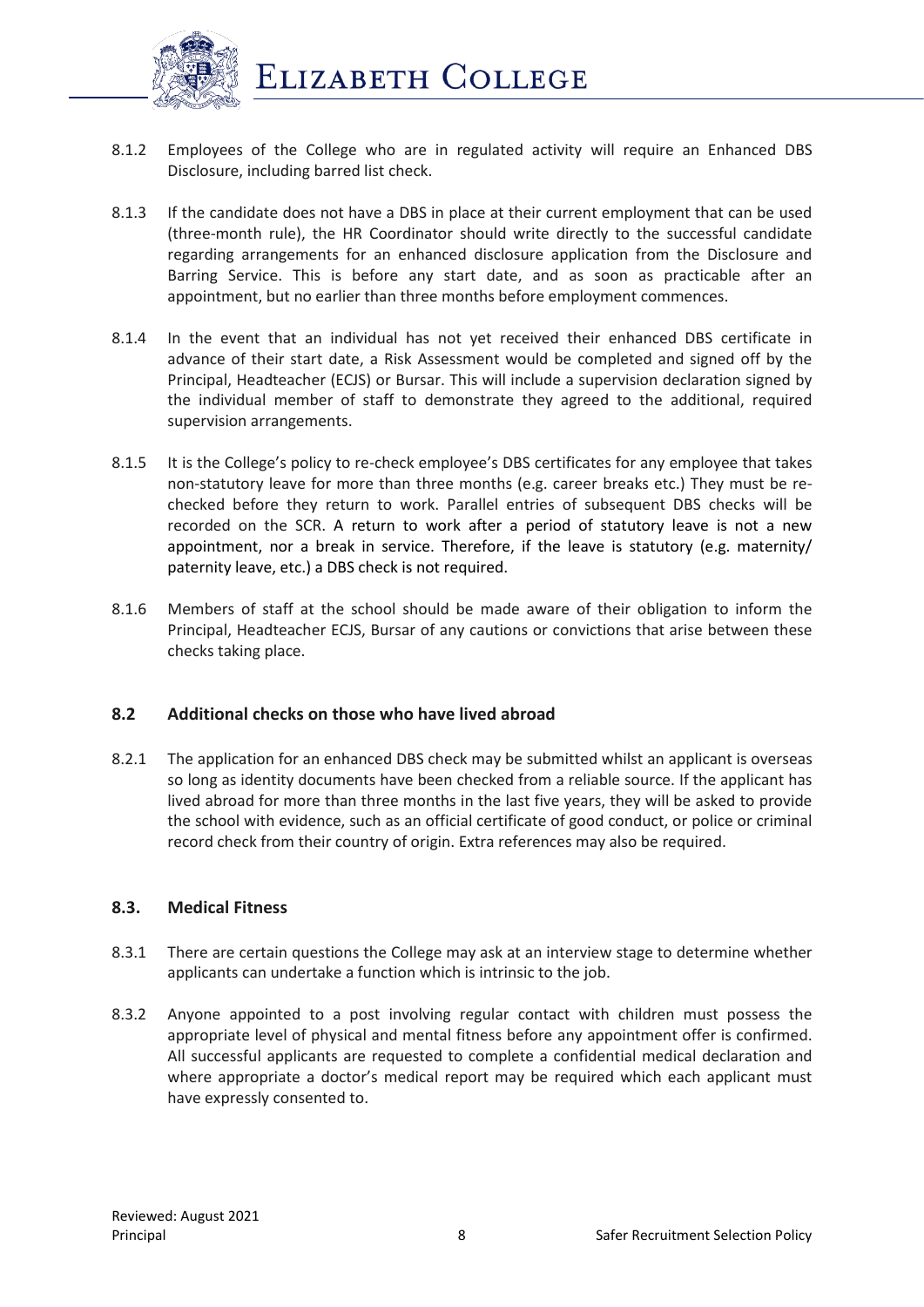

- 8.1.2 Employees of the College who are in regulated activity will require an Enhanced DBS Disclosure, including barred list check.
- 8.1.3 If the candidate does not have a DBS in place at their current employment that can be used (three-month rule), the HR Coordinator should write directly to the successful candidate regarding arrangements for an enhanced disclosure application from the Disclosure and Barring Service. This is before any start date, and as soon as practicable after an appointment, but no earlier than three months before employment commences.
- 8.1.4 In the event that an individual has not yet received their enhanced DBS certificate in advance of their start date, a Risk Assessment would be completed and signed off by the Principal, Headteacher (ECJS) or Bursar. This will include a supervision declaration signed by the individual member of staff to demonstrate they agreed to the additional, required supervision arrangements.
- 8.1.5 It is the College's policy to re-check employee's DBS certificates for any employee that takes non-statutory leave for more than three months (e.g. career breaks etc.) They must be rechecked before they return to work. Parallel entries of subsequent DBS checks will be recorded on the SCR. A return to work after a period of statutory leave is not a new appointment, nor a break in service. Therefore, if the leave is statutory (e.g. maternity/ paternity leave, etc.) a DBS check is not required.
- 8.1.6 Members of staff at the school should be made aware of their obligation to inform the Principal, Headteacher ECJS, Bursar of any cautions or convictions that arise between these checks taking place.

## **8.2 Additional checks on those who have lived abroad**

8.2.1 The application for an enhanced DBS check may be submitted whilst an applicant is overseas so long as identity documents have been checked from a reliable source. If the applicant has lived abroad for more than three months in the last five years, they will be asked to provide the school with evidence, such as an official certificate of good conduct, or police or criminal record check from their country of origin. Extra references may also be required.

# **8.3. Medical Fitness**

- 8.3.1 There are certain questions the College may ask at an interview stage to determine whether applicants can undertake a function which is intrinsic to the job.
- 8.3.2 Anyone appointed to a post involving regular contact with children must possess the appropriate level of physical and mental fitness before any appointment offer is confirmed. All successful applicants are requested to complete a confidential medical declaration and where appropriate a doctor's medical report may be required which each applicant must have expressly consented to.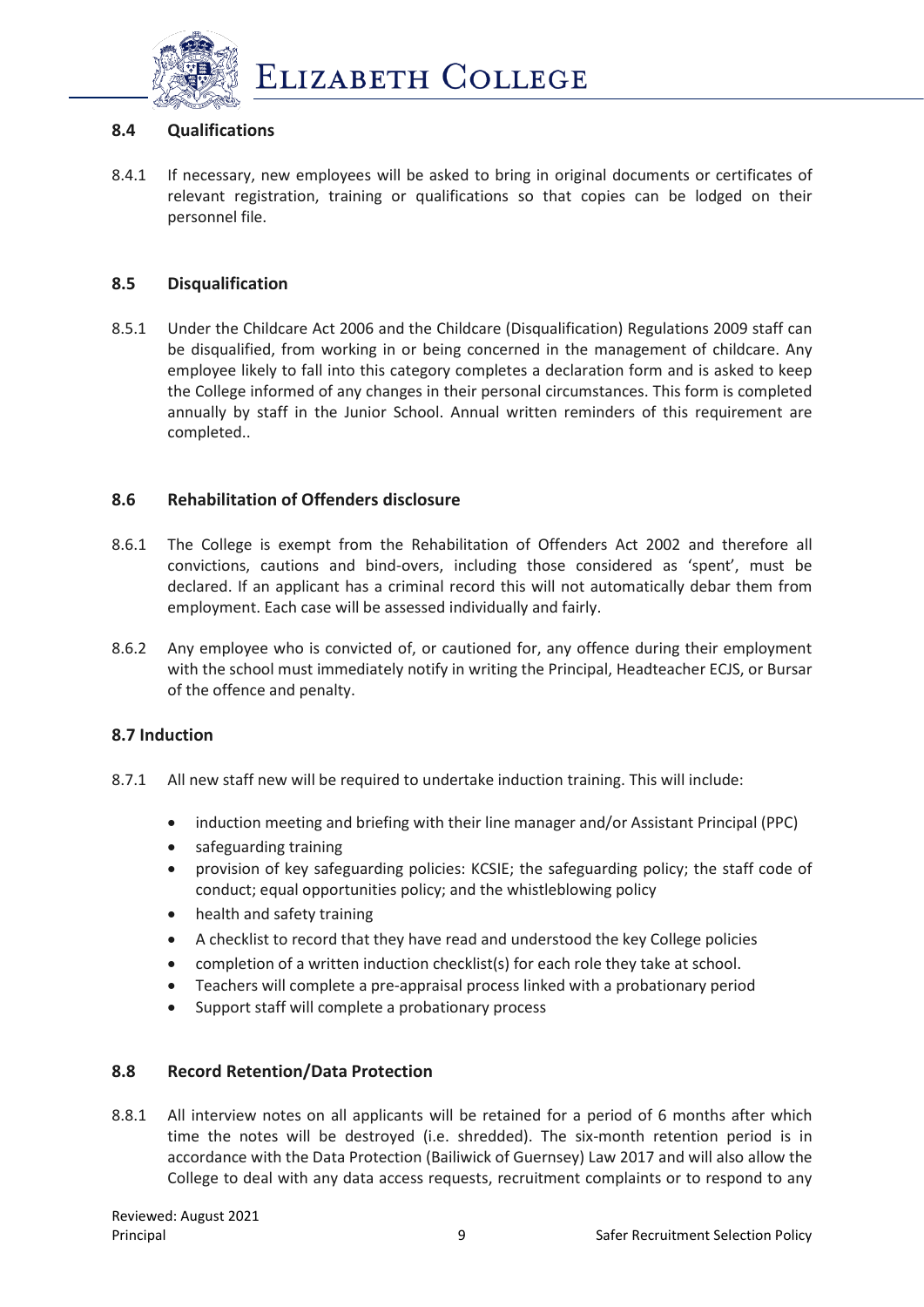

## **8.4 Qualifications**

8.4.1 If necessary, new employees will be asked to bring in original documents or certificates of relevant registration, training or qualifications so that copies can be lodged on their personnel file.

## **8.5 Disqualification**

8.5.1 Under the Childcare Act 2006 and the Childcare (Disqualification) Regulations 2009 staff can be disqualified, from working in or being concerned in the management of childcare. Any employee likely to fall into this category completes a declaration form and is asked to keep the College informed of any changes in their personal circumstances. This form is completed annually by staff in the Junior School. Annual written reminders of this requirement are completed..

## **8.6 Rehabilitation of Offenders disclosure**

- 8.6.1 The College is exempt from the Rehabilitation of Offenders Act 2002 and therefore all convictions, cautions and bind-overs, including those considered as 'spent', must be declared. If an applicant has a criminal record this will not automatically debar them from employment. Each case will be assessed individually and fairly.
- 8.6.2 Any employee who is convicted of, or cautioned for, any offence during their employment with the school must immediately notify in writing the Principal, Headteacher ECJS, or Bursar of the offence and penalty.

## **8.7 Induction**

- 8.7.1 All new staff new will be required to undertake induction training. This will include:
	- induction meeting and briefing with their line manager and/or Assistant Principal (PPC)
	- safeguarding training
	- provision of key safeguarding policies: KCSIE; the safeguarding policy; the staff code of conduct; equal opportunities policy; and the whistleblowing policy
	- health and safety training
	- A checklist to record that they have read and understood the key College policies
	- completion of a written induction checklist(s) for each role they take at school.
	- Teachers will complete a pre-appraisal process linked with a probationary period
	- Support staff will complete a probationary process

## **8.8 Record Retention/Data Protection**

8.8.1 All interview notes on all applicants will be retained for a period of 6 months after which time the notes will be destroyed (i.e. shredded). The six-month retention period is in accordance with the Data Protection (Bailiwick of Guernsey) Law 2017 and will also allow the College to deal with any data access requests, recruitment complaints or to respond to any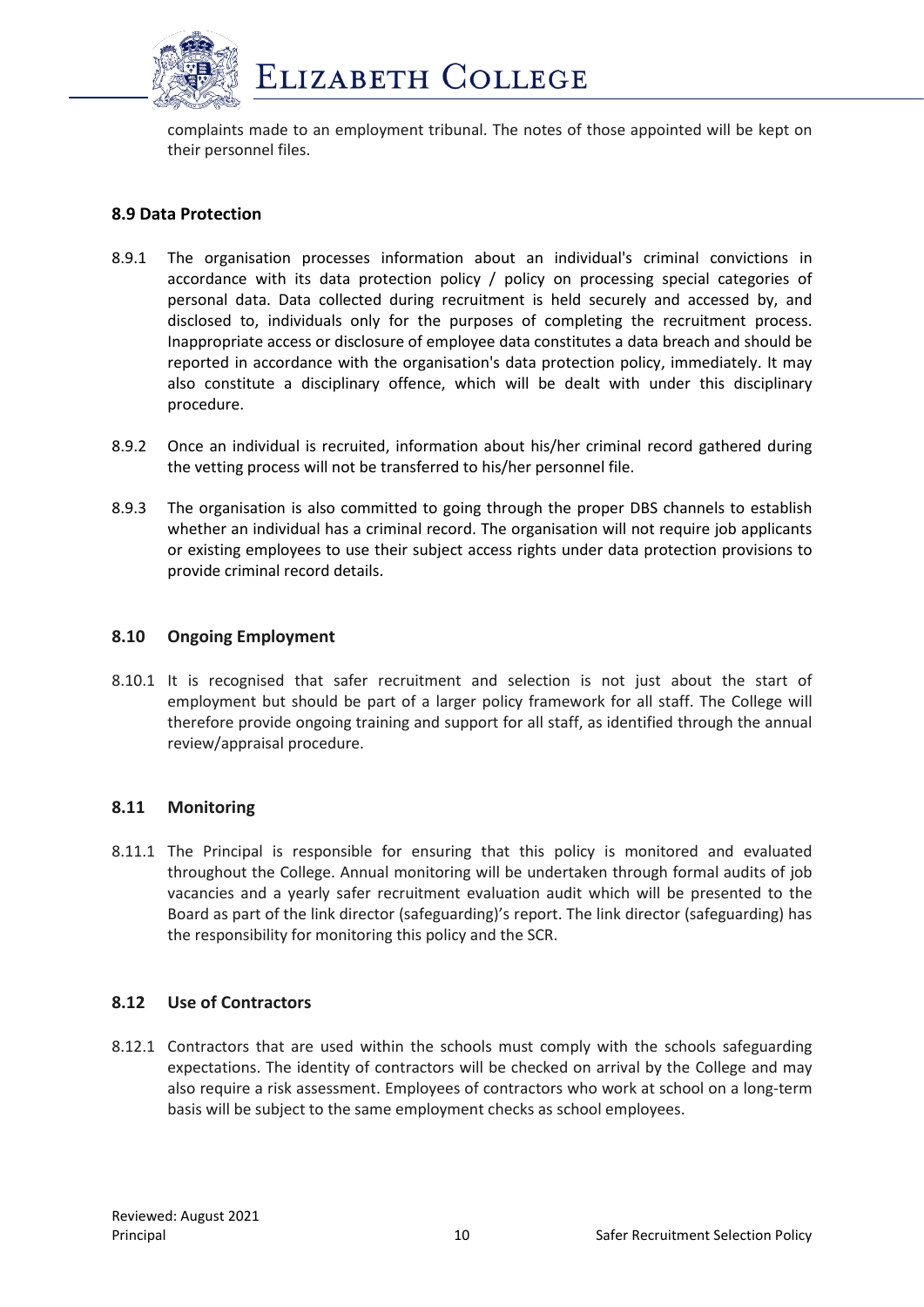

complaints made to an employment tribunal. The notes of those appointed will be kept on their personnel files.

## **8.9 Data Protection**

- 8.9.1 The organisation processes information about an individual's criminal convictions in accordance with its [data protection policy](http://www.xperthr.co.uk/policies-and-documents/data-protection-policy-compliant-with-the-gdpr-/162690/) / policy on processing special categories of personal data. Data collected during recruitment is held securely and accessed by, and disclosed to, individuals only for the purposes of completing the recruitment process. Inappropriate access or disclosure of employee data constitutes a data breach and should be reported in accordance with the organisation's data protection policy, immediately. It may also constitute a disciplinary offence, which will be dealt with under this disciplinary procedure.
- 8.9.2 Once an individual is recruited, information about his/her criminal record gathered during the vetting process will not be transferred to his/her personnel file.
- 8.9.3 The organisation is also committed to going through the proper DBS channels to establish whether an individual has a criminal record. The organisation will not require job applicants or existing employees to use their subject access rights under data protection provisions to provide criminal record details.

#### **8.10 Ongoing Employment**

8.10.1 It is recognised that safer recruitment and selection is not just about the start of employment but should be part of a larger policy framework for all staff. The College will therefore provide ongoing training and support for all staff, as identified through the annual review/appraisal procedure.

## **8.11 Monitoring**

8.11.1 The Principal is responsible for ensuring that this policy is monitored and evaluated throughout the College. Annual monitoring will be undertaken through formal audits of job vacancies and a yearly safer recruitment evaluation audit which will be presented to the Board as part of the link director (safeguarding)'s report. The link director (safeguarding) has the responsibility for monitoring this policy and the SCR.

## **8.12 Use of Contractors**

8.12.1 Contractors that are used within the schools must comply with the schools safeguarding expectations. The identity of contractors will be checked on arrival by the College and may also require a risk assessment. Employees of contractors who work at school on a long-term basis will be subject to the same employment checks as school employees.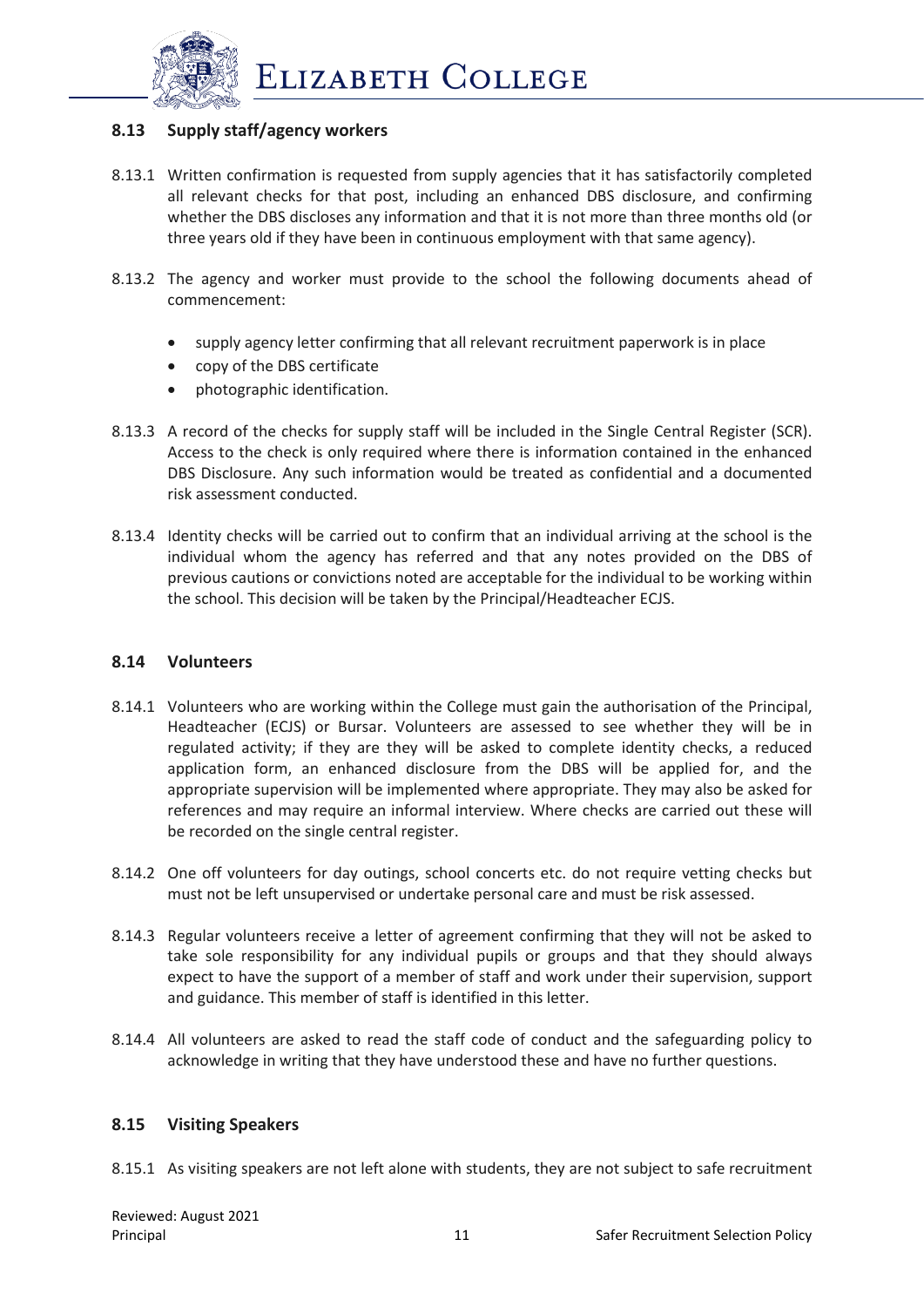

# **8.13 Supply staff/agency workers**

- 8.13.1 Written confirmation is requested from supply agencies that it has satisfactorily completed all relevant checks for that post, including an enhanced DBS disclosure, and confirming whether the DBS discloses any information and that it is not more than three months old (or three years old if they have been in continuous employment with that same agency).
- 8.13.2 The agency and worker must provide to the school the following documents ahead of commencement:
	- supply agency letter confirming that all relevant recruitment paperwork is in place
	- copy of the DBS certificate
	- photographic identification.
- 8.13.3 A record of the checks for supply staff will be included in the Single Central Register (SCR). Access to the check is only required where there is information contained in the enhanced DBS Disclosure. Any such information would be treated as confidential and a documented risk assessment conducted.
- 8.13.4 Identity checks will be carried out to confirm that an individual arriving at the school is the individual whom the agency has referred and that any notes provided on the DBS of previous cautions or convictions noted are acceptable for the individual to be working within the school. This decision will be taken by the Principal/Headteacher ECJS.

#### **8.14 Volunteers**

- 8.14.1 Volunteers who are working within the College must gain the authorisation of the Principal, Headteacher (ECJS) or Bursar. Volunteers are assessed to see whether they will be in regulated activity; if they are they will be asked to complete identity checks, a reduced application form, an enhanced disclosure from the DBS will be applied for, and the appropriate supervision will be implemented where appropriate. They may also be asked for references and may require an informal interview. Where checks are carried out these will be recorded on the single central register.
- 8.14.2 One off volunteers for day outings, school concerts etc. do not require vetting checks but must not be left unsupervised or undertake personal care and must be risk assessed.
- 8.14.3 Regular volunteers receive a letter of agreement confirming that they will not be asked to take sole responsibility for any individual pupils or groups and that they should always expect to have the support of a member of staff and work under their supervision, support and guidance. This member of staff is identified in this letter.
- 8.14.4 All volunteers are asked to read the staff code of conduct and the safeguarding policy to acknowledge in writing that they have understood these and have no further questions.

#### **8.15 Visiting Speakers**

8.15.1 As visiting speakers are not left alone with students, they are not subject to safe recruitment